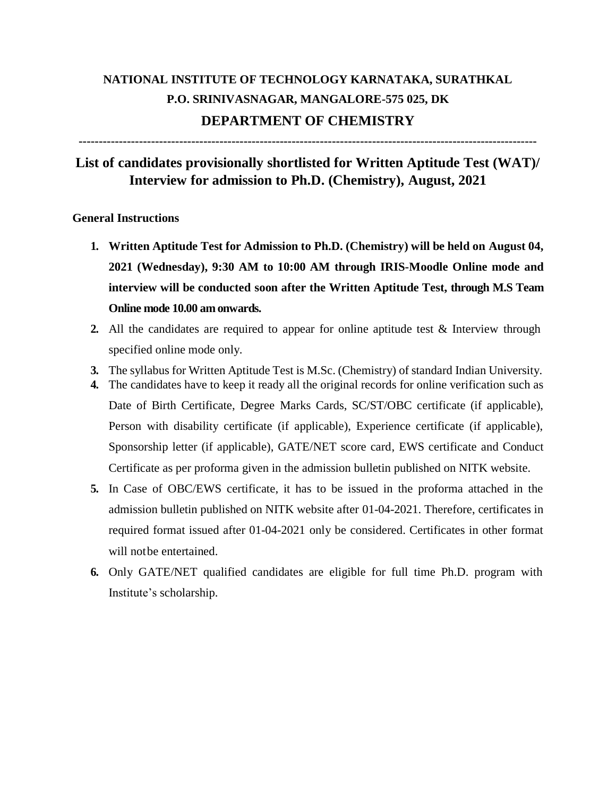## **NATIONAL INSTITUTE OF TECHNOLOGY KARNATAKA, SURATHKAL P.O. SRINIVASNAGAR, MANGALORE-575 025, DK DEPARTMENT OF CHEMISTRY**

**------------------------------------------------------------------------------------------------------------------**

## **List of candidates provisionally shortlisted for Written Aptitude Test (WAT)/ Interview for admission to Ph.D. (Chemistry), August, 2021**

## **General Instructions**

- **1. Written Aptitude Test for Admission to Ph.D. (Chemistry) will be held on August 04, 2021 (Wednesday), 9:30 AM to 10:00 AM through IRIS-Moodle Online mode and interview will be conducted soon after the Written Aptitude Test, through M.S Team Online mode 10.00 am onwards.**
- **2.** All the candidates are required to appear for online aptitude test & Interview through specified online mode only.
- **3.** The syllabus for Written Aptitude Test is M.Sc. (Chemistry) of standard Indian University.
- **4.** The candidates have to keep it ready all the original records for online verification such as Date of Birth Certificate, Degree Marks Cards, SC/ST/OBC certificate (if applicable), Person with disability certificate (if applicable), Experience certificate (if applicable), Sponsorship letter (if applicable), GATE/NET score card, EWS certificate and Conduct Certificate as per proforma given in the admission bulletin published on NITK website.
- **5.** In Case of OBC/EWS certificate, it has to be issued in the proforma attached in the admission bulletin published on NITK website after 01-04-2021. Therefore, certificates in required format issued after 01-04-2021 only be considered. Certificates in other format will notbe entertained.
- **6.** Only GATE/NET qualified candidates are eligible for full time Ph.D. program with Institute's scholarship.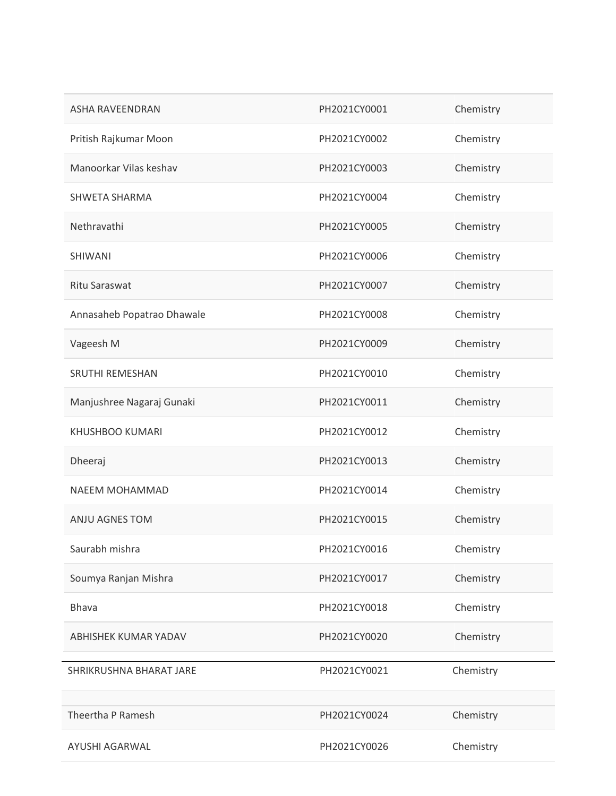| ASHA RAVEENDRAN            | PH2021CY0001 | Chemistry |
|----------------------------|--------------|-----------|
| Pritish Rajkumar Moon      | PH2021CY0002 | Chemistry |
| Manoorkar Vilas keshav     | PH2021CY0003 | Chemistry |
| <b>SHWETA SHARMA</b>       | PH2021CY0004 | Chemistry |
| Nethravathi                | PH2021CY0005 | Chemistry |
| SHIWANI                    | PH2021CY0006 | Chemistry |
| Ritu Saraswat              | PH2021CY0007 | Chemistry |
| Annasaheb Popatrao Dhawale | PH2021CY0008 | Chemistry |
| Vageesh M                  | PH2021CY0009 | Chemistry |
| <b>SRUTHI REMESHAN</b>     | PH2021CY0010 | Chemistry |
| Manjushree Nagaraj Gunaki  | PH2021CY0011 | Chemistry |
| <b>KHUSHBOO KUMARI</b>     | PH2021CY0012 | Chemistry |
| Dheeraj                    | PH2021CY0013 | Chemistry |
| NAEEM MOHAMMAD             | PH2021CY0014 | Chemistry |
| ANJU AGNES TOM             | PH2021CY0015 | Chemistry |
| Saurabh mishra             | PH2021CY0016 | Chemistry |
| Soumya Ranjan Mishra       | PH2021CY0017 | Chemistry |
| <b>Bhava</b>               | PH2021CY0018 | Chemistry |
| ABHISHEK KUMAR YADAV       | PH2021CY0020 | Chemistry |
| SHRIKRUSHNA BHARAT JARE    | PH2021CY0021 | Chemistry |
| Theertha P Ramesh          | PH2021CY0024 | Chemistry |
| AYUSHI AGARWAL             | PH2021CY0026 | Chemistry |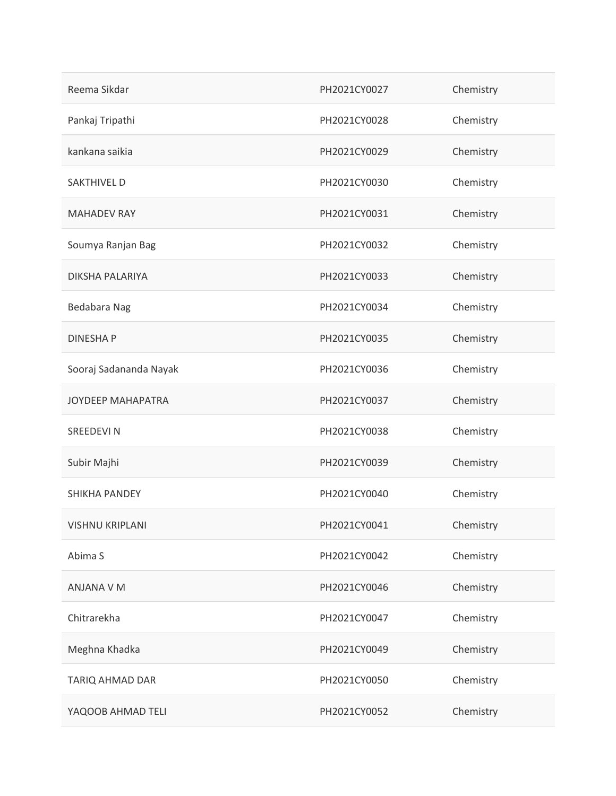| Reema Sikdar             | PH2021CY0027 | Chemistry |
|--------------------------|--------------|-----------|
| Pankaj Tripathi          | PH2021CY0028 | Chemistry |
| kankana saikia           | PH2021CY0029 | Chemistry |
| <b>SAKTHIVEL D</b>       | PH2021CY0030 | Chemistry |
| <b>MAHADEV RAY</b>       | PH2021CY0031 | Chemistry |
| Soumya Ranjan Bag        | PH2021CY0032 | Chemistry |
| DIKSHA PALARIYA          | PH2021CY0033 | Chemistry |
| Bedabara Nag             | PH2021CY0034 | Chemistry |
| <b>DINESHAP</b>          | PH2021CY0035 | Chemistry |
| Sooraj Sadananda Nayak   | PH2021CY0036 | Chemistry |
| <b>JOYDEEP MAHAPATRA</b> | PH2021CY0037 | Chemistry |
| <b>SREEDEVIN</b>         | PH2021CY0038 | Chemistry |
| Subir Majhi              | PH2021CY0039 | Chemistry |
| SHIKHA PANDEY            | PH2021CY0040 | Chemistry |
| <b>VISHNU KRIPLANI</b>   | PH2021CY0041 | Chemistry |
| Abima S                  | PH2021CY0042 | Chemistry |
| ANJANA V M               | PH2021CY0046 | Chemistry |
| Chitrarekha              | PH2021CY0047 | Chemistry |
| Meghna Khadka            | PH2021CY0049 | Chemistry |
| TARIQ AHMAD DAR          | PH2021CY0050 | Chemistry |
| YAQOOB AHMAD TELI        | PH2021CY0052 | Chemistry |